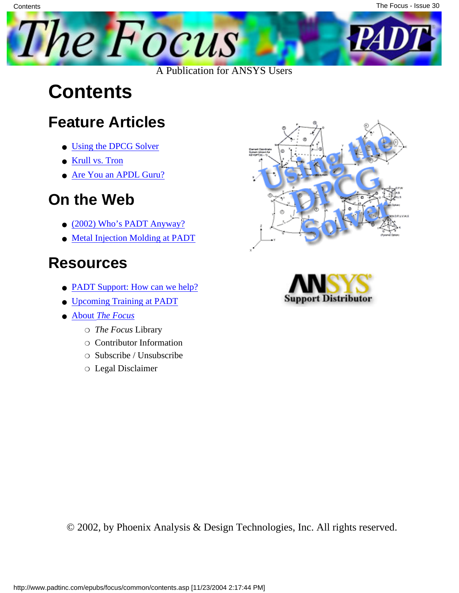

### **Contents**

**Contents** 

#### **Feature Articles**

- [Using the DPCG Solver](#page-1-0)
- [Krull vs. Tron](#page-8-0)
- [Are You an APDL Guru?](#page-13-0)

### **On the Web**

- [\(2002\) Who's PADT Anyway?](http://www.padtinc.com/epubs/focus/2004/0030_0817/extra1.htm)
- [Metal Injection Molding at PADT](http://www.padtinc.com/epubs/focus/2004/0030_0817/extra2.htm)

### **Resources**

- **PADT Support:** How can we help?
- [Upcoming Training at PADT](http://www.padtinc.com/epubs/focus/common/training.asp)
- **About** *[The Focus](#page-16-0)* 
	- ❍ *The Focus* Library
	- ❍ Contributor Information
	- ❍ Subscribe / Unsubscribe
	- ❍ Legal Disclaimer





© 2002, by Phoenix Analysis & Design Technologies, Inc. All rights reserved.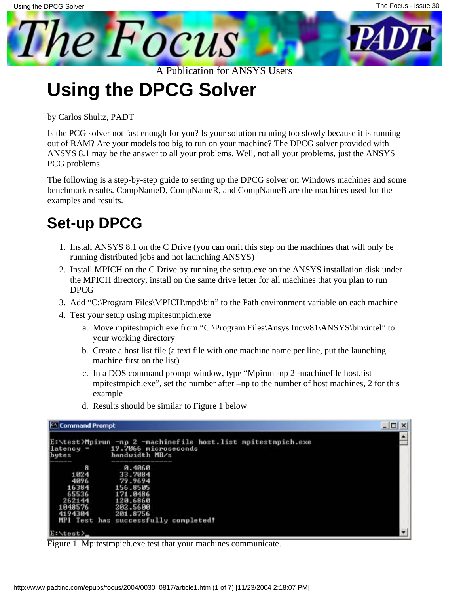<span id="page-1-0"></span>

**Using the DPCG Solver**

by Carlos Shultz, PADT

Is the PCG solver not fast enough for you? Is your solution running too slowly because it is running out of RAM? Are your models too big to run on your machine? The DPCG solver provided with ANSYS 8.1 may be the answer to all your problems. Well, not all your problems, just the ANSYS PCG problems.

The following is a step-by-step guide to setting up the DPCG solver on Windows machines and some benchmark results. CompNameD, CompNameR, and CompNameB are the machines used for the examples and results.

#### **Set-up DPCG**

- 1. Install ANSYS 8.1 on the C Drive (you can omit this step on the machines that will only be running distributed jobs and not launching ANSYS)
- 2. Install MPICH on the C Drive by running the setup.exe on the ANSYS installation disk under the MPICH directory, install on the same drive letter for all machines that you plan to run DPCG
- 3. Add "C:\Program Files\MPICH\mpd\bin" to the Path environment variable on each machine
- Test your setup using mpitestmpich.exe 4.
	- a. Move mpitestmpich.exe from "C:\Program Files\Ansys Inc\v81\ANSYS\bin\intel" to your working directory
	- b. Create a host.list file (a text file with one machine name per line, put the launching machine first on the list)
	- c. In a DOS command prompt window, type "Mpirun -np 2 -machinefile host.list mpitestmpich.exe", set the number after –np to the number of host machines, 2 for this example
	- d. Results should be similar to Figure 1 below



Figure 1. Mpitestmpich.exe test that your machines communicate.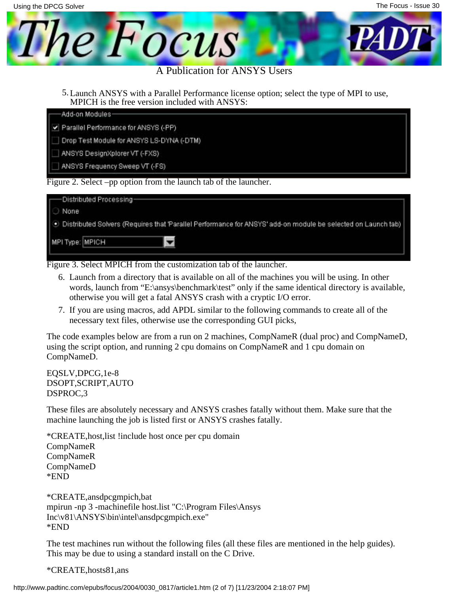

MPICH is the free version included with ANSYS: 5. Launch ANSYS with a Parallel Performance license option; select the type of MPI to use,

| Add-on Modules-                           |  |
|-------------------------------------------|--|
| Parallel Performance for ANSYS (-PP)      |  |
| Drop Test Module for ANSYS LS-DYNA (-DTM) |  |
| ANSYS DesignXplorer VT (-FXS)             |  |
| ANSYS Frequency Sweep VT (-FS)            |  |

|                 | — Distributed Processing—<br>○ None<br>● Distributed Solvers (Requires that Parallel Performance for ANSYS' add-on module be selected on Launch tab) |
|-----------------|------------------------------------------------------------------------------------------------------------------------------------------------------|
| MPI Type: MPICH |                                                                                                                                                      |
|                 |                                                                                                                                                      |

Figure 3. Select MPICH from the customization tab of the launcher.

- Launch from a directory that is available on all of the machines you will be using. In other 6. words, launch from "E:\ansys\benchmark\test" only if the same identical directory is available, otherwise you will get a fatal ANSYS crash with a cryptic I/O error.
- 7. If you are using macros, add APDL similar to the following commands to create all of the necessary text files, otherwise use the corresponding GUI picks,

The code examples below are from a run on 2 machines, CompNameR (dual proc) and CompNameD, using the script option, and running 2 cpu domains on CompNameR and 1 cpu domain on CompNameD.

EQSLV,DPCG,1e-8 DSOPT,SCRIPT,AUTO DSPROC,3

These files are absolutely necessary and ANSYS crashes fatally without them. Make sure that the machine launching the job is listed first or ANSYS crashes fatally.

\*CREATE,host,list !include host once per cpu domain CompNameR CompNameR CompNameD \*END

\*CREATE,ansdpcgmpich,bat mpirun -np 3 -machinefile host.list "C:\Program Files\Ansys Inc\v81\ANSYS\bin\intel\ansdpcgmpich.exe" \*END

The test machines run without the following files (all these files are mentioned in the help guides). This may be due to using a standard install on the C Drive.

\*CREATE,hosts81,ans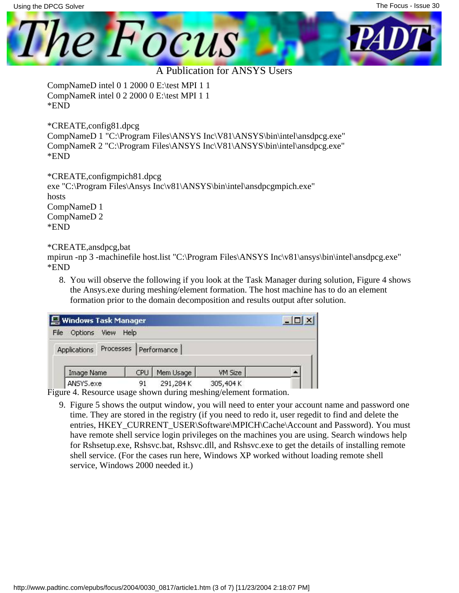

CompNameD intel 0 1 2000 0 E:\test MPI 1 1 CompNameR intel 0 2 2000 0 E:\test MPI 1 1 \*END

\*CREATE,config81.dpcg CompNameD 1 "C:\Program Files\ANSYS Inc\V81\ANSYS\bin\intel\ansdpcg.exe" CompNameR 2 "C:\Program Files\ANSYS Inc\V81\ANSYS\bin\intel\ansdpcg.exe" \*END

\*CREATE,configmpich81.dpcg exe "C:\Program Files\Ansys Inc\v81\ANSYS\bin\intel\ansdpcgmpich.exe" hosts CompNameD 1 CompNameD 2 \*END

#### \*CREATE,ansdpcg,bat

mpirun -np 3 -machinefile host.list "C:\Program Files\ANSYS Inc\v81\ansys\bin\intel\ansdpcg.exe" \*END

8. You will observe the following if you look at the Task Manager during solution, Figure 4 shows the Ansys.exe during meshing/element formation. The host machine has to do an element formation prior to the domain decomposition and results output after solution.

| <b>图 Windows Task Manager</b>                                                         |      |           |           |  |
|---------------------------------------------------------------------------------------|------|-----------|-----------|--|
| File<br>Options<br>View                                                               | Help |           |           |  |
| Applications Processes Performance                                                    |      |           |           |  |
| Image Name                                                                            | CPU  | Mem Usage | VM Size   |  |
| ANSYS.exe<br>$\Gamma$ igura 4. Decembro usago aborro during mechino slament formation | 91   | 291,284K  | 305,404 K |  |

Figure 4. Resource usage shown during meshing/element formation.

Figure 5 shows the output window, you will need to enter your account name and password one 9. time. They are stored in the registry (if you need to redo it, user regedit to find and delete the entries, HKEY\_CURRENT\_USER\Software\MPICH\Cache\Account and Password). You must have remote shell service login privileges on the machines you are using. Search windows help for Rshsetup.exe, Rshsvc.bat, Rshsvc.dll, and Rshsvc.exe to get the details of installing remote shell service. (For the cases run here, Windows XP worked without loading remote shell service, Windows 2000 needed it.)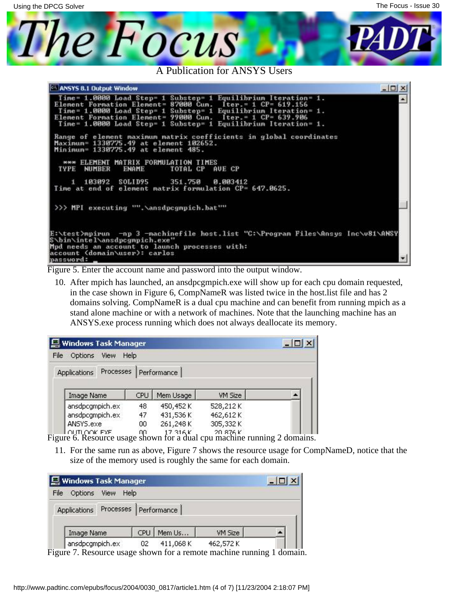

Figure 5. Enter the account name and password into the output window.

10. After mpich has launched, an ansdpcgmpich.exe will show up for each cpu domain requested, in the case shown in Figure 6, CompNameR was listed twice in the host.list file and has 2 domains solving. CompNameR is a dual cpu machine and can benefit from running mpich as a stand alone machine or with a network of machines. Note that the launching machine has an ANSYS.exe process running which does not always deallocate its memory.

| Windows Task Manager           |      |                         |          |  |  |
|--------------------------------|------|-------------------------|----------|--|--|
| File<br>Options<br><b>View</b> | Help |                         |          |  |  |
| <b>Applications</b>            |      | Processes   Performance |          |  |  |
| Image Name                     | CPU  | Mem Usage               | VM Size  |  |  |
| ansdpcgmpich.ex                | 48   | 450,452K                | 528,212K |  |  |
| ansdpcgmpich.ex                | 47   | 431,536K                | 462,612K |  |  |
| ANSYS.exe                      | 00   | 261,248K                | 305,332K |  |  |
| OUTLOOK EXE                    | nn   | 17.316K                 | 20.876K  |  |  |

Figure 6. Resource usage shown for a dual cpu machine running 2 domains.

11. For the same run as above, Figure 7 shows the resource usage for CompNameD, notice that the size of the memory used is roughly the same for each domain.

| Windows Task Manager                                                                     |     |          |          |       |
|------------------------------------------------------------------------------------------|-----|----------|----------|-------|
| File<br>Options<br>View<br>Help                                                          |     |          |          |       |
| Applications Processes Performance                                                       |     |          |          |       |
| Image Name                                                                               | CPU | Mem Us   | VM Size  |       |
| ansdpcgmpich.ex<br>$E_{\text{out}}$ 7 December 1990a cheann for a nometa meabing munical | 02  | 411,068K | 462,572K | تممسط |

Figure 7. Resource usage shown for a remote machine running 1 domain.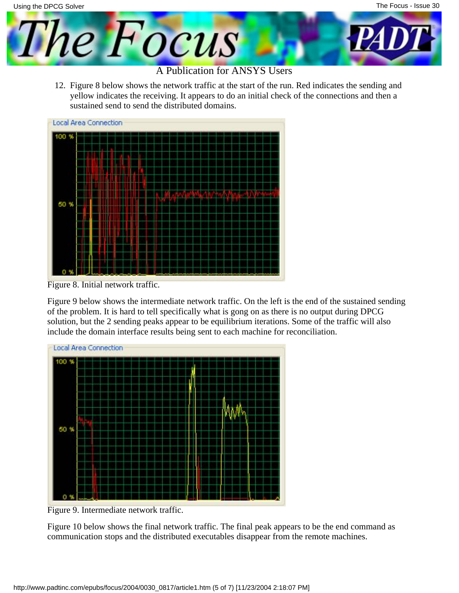12. Figure 8 below shows the network traffic at the start of the run. Red indicates the sending and yellow indicates the receiving. It appears to do an initial check of the connections and then a sustained send to send the distributed domains.



Figure 8. Initial network traffic.

Figure 9 below shows the intermediate network traffic. On the left is the end of the sustained sending of the problem. It is hard to tell specifically what is gong on as there is no output during DPCG solution, but the 2 sending peaks appear to be equilibrium iterations. Some of the traffic will also include the domain interface results being sent to each machine for reconciliation.



Figure 9. Intermediate network traffic.

Figure 10 below shows the final network traffic. The final peak appears to be the end command as communication stops and the distributed executables disappear from the remote machines.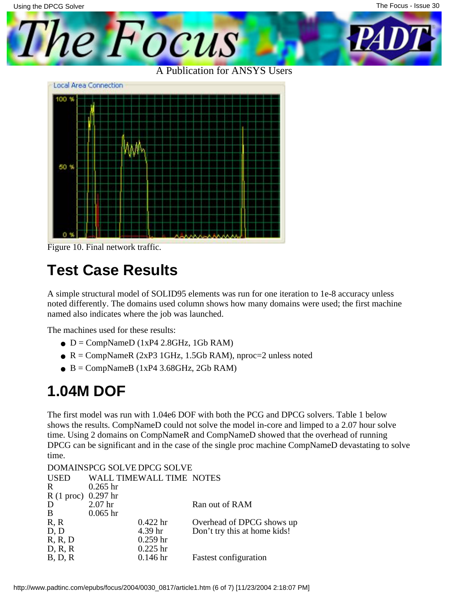The Focus - Issue 30Using the DPCG Solver The Focus

A Publication for ANSYS Users



Figure 10. Final network traffic.

#### **Test Case Results**

A simple structural model of SOLID95 elements was run for one iteration to 1e-8 accuracy unless noted differently. The domains used column shows how many domains were used; the first machine named also indicates where the job was launched.

The machines used for these results:

- $\bullet$  D = CompNameD (1xP4 2.8GHz, 1Gb RAM)
- $R = \text{CompNameR}$  (2xP3 1GHz, 1.5Gb RAM), nproc=2 unless noted
- $\bullet$  B = CompNameB (1xP4 3.68GHz, 2Gb RAM)

#### **1.04M DOF**

The first model was run with 1.04e6 DOF with both the PCG and DPCG solvers. Table 1 below shows the results. CompNameD could not solve the model in-core and limped to a 2.07 hour solve time. Using 2 domains on CompNameR and CompNameD showed that the overhead of running DPCG can be significant and in the case of the single proc machine CompNameD devastating to solve time.

| $0.265$ hr          |                    |                                                         |
|---------------------|--------------------|---------------------------------------------------------|
| R (1 proc) 0.297 hr |                    |                                                         |
| 2.07 <sub>hr</sub>  |                    | Ran out of RAM                                          |
| $0.065$ hr          |                    |                                                         |
|                     | $0.422$ hr         | Overhead of DPCG shows up                               |
|                     | 4.39 <sub>hr</sub> | Don't try this at home kids!                            |
|                     | $0.259$ hr         |                                                         |
|                     | $0.225$ hr         |                                                         |
|                     | $0.146$ hr         | <b>Fastest configuration</b>                            |
|                     |                    | DOMAINSPCG SOLVE DPCG SOLVE<br>WALL TIMEWALL TIME NOTES |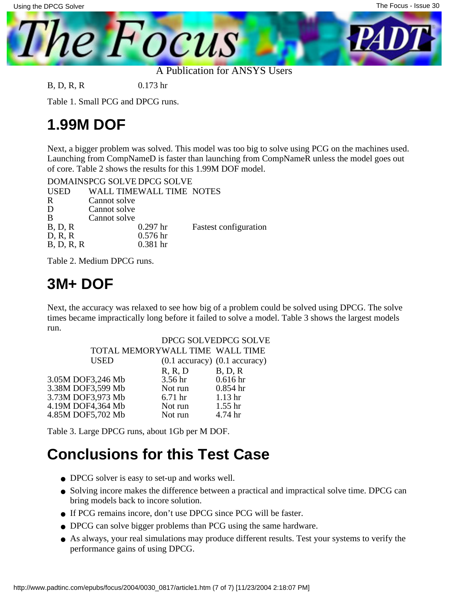

B, D, R, R 0.173 hr

Table 1. Small PCG and DPCG runs.

#### **1.99M DOF**

Next, a bigger problem was solved. This model was too big to solve using PCG on the machines used. Launching from CompNameD is faster than launching from CompNameR unless the model goes out of core. Table 2 shows the results for this 1.99M DOF model.

DOMAINS PCG SOLVE DPCG SOLVE

| <b>USED</b> | WALL TIMEWALL TIME NOTES |                              |
|-------------|--------------------------|------------------------------|
| $\mathbf R$ | Cannot solve             |                              |
| D           | Cannot solve             |                              |
| B           | Cannot solve             |                              |
| B, D, R     | $0.297$ hr               | <b>Fastest configuration</b> |
| D, R, R     | 0.576 <sub>hr</sub>      |                              |
| B, D, R, R  | $0.381$ hr               |                              |
|             |                          |                              |

Table 2. Medium DPCG runs.

#### **3M+ DOF**

Next, the accuracy was relaxed to see how big of a problem could be solved using DPCG. The solve times became impractically long before it failed to solve a model. Table 3 shows the largest models run.

|                                 |                    | DPCG SOLVEDPCG SOLVE                    |
|---------------------------------|--------------------|-----------------------------------------|
| TOTAL MEMORYWALL TIME WALL TIME |                    |                                         |
| <b>USED</b>                     |                    | $(0.1$ accuracy $)$ $(0.1$ accuracy $)$ |
|                                 | R, R, D            | B, D, R                                 |
| 3.05M DOF3,246 Mb               | 3.56 hr            | 0.616 <sub>hr</sub>                     |
| 3.38M DOF3,599 Mb               | Not run            | $0.854$ hr                              |
| 3.73M DOF3,973 Mb               | 6.71 <sub>hr</sub> | 1.13 <sub>hr</sub>                      |
| 4.19M DOF4,364 Mb               | Not run            | 1.55 <sub>hr</sub>                      |
| 4.85M DOF5,702 Mb               | Not run            | 4.74 hr                                 |
|                                 |                    |                                         |

Table 3. Large DPCG runs, about 1Gb per M DOF.

#### **Conclusions for this Test Case**

- DPCG solver is easy to set-up and works well.
- Solving incore makes the difference between a practical and impractical solve time. DPCG can bring models back to incore solution.
- If PCG remains incore, don't use DPCG since PCG will be faster.
- DPCG can solve bigger problems than PCG using the same hardware.
- As always, your real simulations may produce different results. Test your systems to verify the performance gains of using DPCG.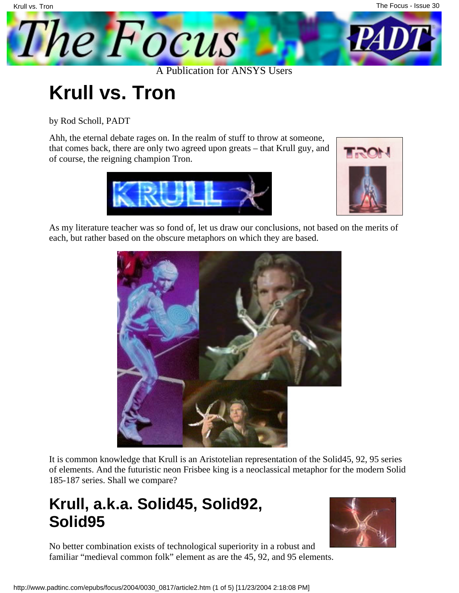The Focus - Issue 30

<span id="page-8-0"></span>

# **Krull vs. Tron**

by Rod Scholl, PADT

Ahh, the eternal debate rages on. In the realm of stuff to throw at someone, that comes back, there are only two agreed upon greats – that Krull guy, and of course, the reigning champion Tron.





As my literature teacher was so fond of, let us draw our conclusions, not based on the merits of each, but rather based on the obscure metaphors on which they are based.



It is common knowledge that Krull is an Aristotelian representation of the Solid45, 92, 95 series of elements. And the futuristic neon Frisbee king is a neoclassical metaphor for the modern Solid 185-187 series. Shall we compare?

#### **Krull, a.k.a. Solid45, Solid92, Solid95**



No better combination exists of technological superiority in a robust and familiar "medieval common folk" element as are the 45, 92, and 95 elements.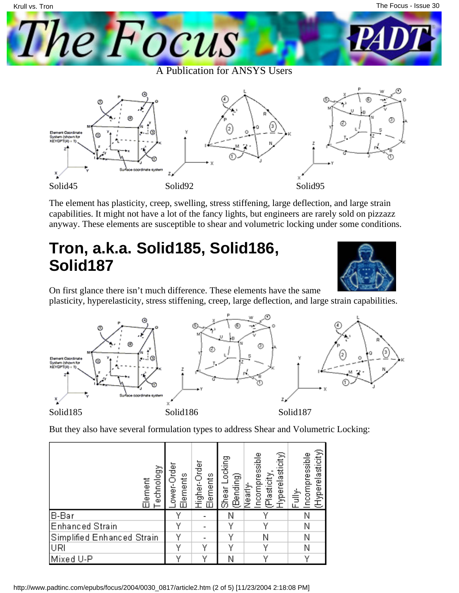



The element has plasticity, creep, swelling, stress stiffening, large deflection, and large strain capabilities. It might not have a lot of the fancy lights, but engineers are rarely sold on pizzazz anyway. These elements are susceptible to shear and volumetric locking under some conditions.

#### **Tron, a.k.a. Solid185, Solid186, Solid187**



On first glance there isn't much difference. These elements have the same

plasticity, hyperelasticity, stress stiffening, creep, large deflection, and large strain capabilities.



But they also have several formulation types to address Shear and Volumetric Locking:

| echnology<br>Element       | ower-Order<br>Elements | Higher-Order<br>Elements | Shear Locking<br>(Bending) | Hyperelasticity)<br>ncompressible<br>(Plasticity,<br>Nearly- | (Hyperelasticity)<br>ncompressible<br>Fully- |
|----------------------------|------------------------|--------------------------|----------------------------|--------------------------------------------------------------|----------------------------------------------|
| B-Bar                      |                        |                          |                            |                                                              |                                              |
| <b>Enhanced Strain</b>     | v                      |                          | v                          | v                                                            | Ν                                            |
| Simplified Enhanced Strain |                        |                          |                            | Ν                                                            | Ν                                            |
| URI                        | v                      | v                        | v                          | v                                                            | Ν                                            |
| Mixed U-P                  |                        | v                        | Ν                          |                                                              |                                              |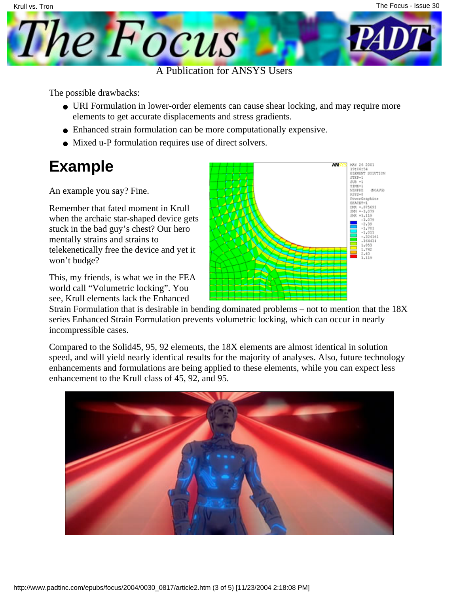

The possible drawbacks:

- URI Formulation in lower-order elements can cause shear locking, and may require more elements to get accurate displacements and stress gradients.
- Enhanced strain formulation can be more computationally expensive.
- Mixed u-P formulation requires use of direct solvers.

#### **Example**

An example you say? Fine.

Remember that fated moment in Krull when the archaic star-shaped device gets stuck in the bad guy's chest? Our hero mentally strains and strains to telekenetically free the device and yet it won't budge?

This, my friends, is what we in the FEA world call "Volumetric locking". You see, Krull elements lack the Enhanced



Strain Formulation that is desirable in bending dominated problems – not to mention that the 18X series Enhanced Strain Formulation prevents volumetric locking, which can occur in nearly incompressible cases.

Compared to the Solid45, 95, 92 elements, the 18X elements are almost identical in solution speed, and will yield nearly identical results for the majority of analyses. Also, future technology enhancements and formulations are being applied to these elements, while you can expect less enhancement to the Krull class of 45, 92, and 95.

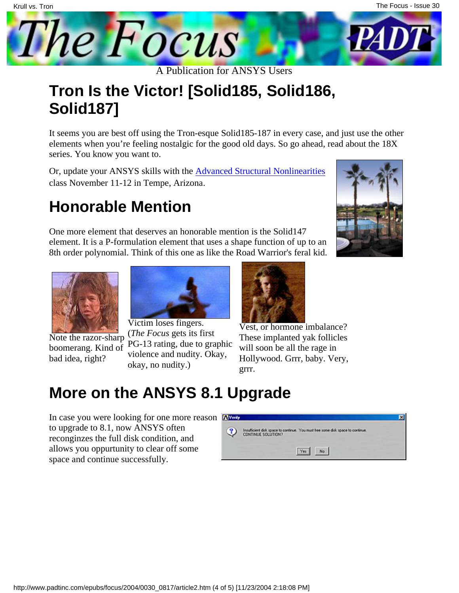

#### **Tron Is the Victor! [Solid185, Solid186, Solid187]**

It seems you are best off using the Tron-esque Solid185-187 in every case, and just use the other elements when you're feeling nostalgic for the good old days. So go ahead, read about the 18X series. You know you want to.

Or, update your ANSYS skills with the [Advanced Structural Nonlinearities](http://www.padtinc.com/support/training/course.asp?c=202) class November 11-12 in Tempe, Arizona.

### **Honorable Mention**

One more element that deserves an honorable mention is the Solid147 element. It is a P-formulation element that uses a shape function of up to an 8th order polynomial. Think of this one as like the Road Warrior's feral kid.





Note the razor-sharp boomerang. Kind of bad idea, right?



Victim loses fingers. (*The Focus* gets its first PG-13 rating, due to graphic violence and nudity. Okay, okay, no nudity.)



Vest, or hormone imbalance? These implanted yak follicles will soon be all the rage in Hollywood. Grrr, baby. Very, grrr.

#### **More on the ANSYS 8.1 Upgrade**

In case you were looking for one more reason to upgrade to 8.1, now ANSYS often reconginzes the full disk condition, and allows you oppurtunity to clear off some space and continue successfully.

| ◉ | Insufficient dak space to continue. You must hee some dak space to continue.<br>CONTINUE SOLUTION? |  |
|---|----------------------------------------------------------------------------------------------------|--|
|   | Yes No                                                                                             |  |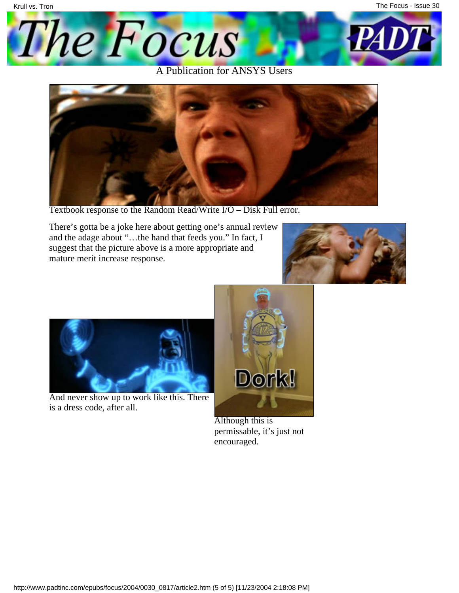



Textbook response to the Random Read/Write I/O – Disk Full error.

There's gotta be a joke here about getting one's annual review and the adage about "…the hand that feeds you." In fact, I suggest that the picture above is a more appropriate and mature merit increase response.





And never show up to work like this. There is a dress code, after all.



Although this is permissable, it's just not encouraged.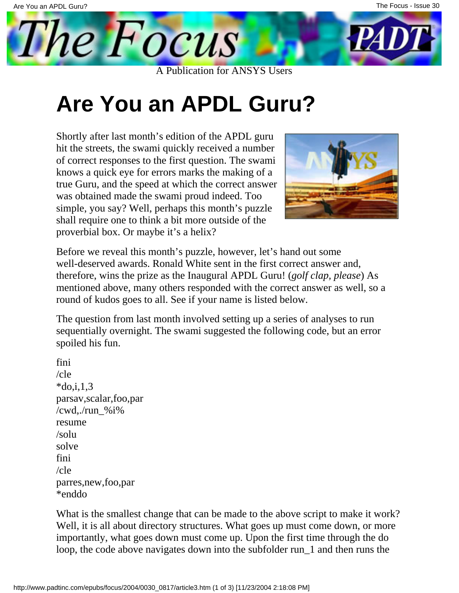<span id="page-13-0"></span>

# **Are You an APDL Guru?**

Shortly after last month's edition of the APDL guru hit the streets, the swami quickly received a number of correct responses to the first question. The swami knows a quick eye for errors marks the making of a true Guru, and the speed at which the correct answer was obtained made the swami proud indeed. Too simple, you say? Well, perhaps this month's puzzle shall require one to think a bit more outside of the proverbial box. Or maybe it's a helix?



Before we reveal this month's puzzle, however, let's hand out some well-deserved awards. Ronald White sent in the first correct answer and, therefore, wins the prize as the Inaugural APDL Guru! (*golf clap, please*) As mentioned above, many others responded with the correct answer as well, so a round of kudos goes to all. See if your name is listed below.

The question from last month involved setting up a series of analyses to run sequentially overnight. The swami suggested the following code, but an error spoiled his fun.

fini /cle  $*do,i,1,3$ parsav,scalar,foo,par /cwd./run  $\%$ i% resume /solu solve fini /cle parres,new,foo,par \*enddo

What is the smallest change that can be made to the above script to make it work? Well, it is all about directory structures. What goes up must come down, or more importantly, what goes down must come up. Upon the first time through the do loop, the code above navigates down into the subfolder run\_1 and then runs the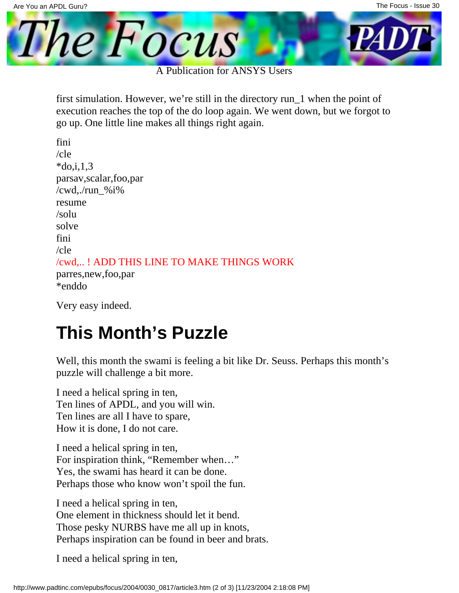

first simulation. However, we're still in the directory run\_1 when the point of execution reaches the top of the do loop again. We went down, but we forgot to go up. One little line makes all things right again.

fini /cle  $*$ do.i.1.3 parsav,scalar,foo,par /cwd,./run\_%i% resume /solu solve fini /cle /cwd,.. ! ADD THIS LINE TO MAKE THINGS WORK parres,new,foo,par \*enddo

Very easy indeed.

### **This Month's Puzzle**

Well, this month the swami is feeling a bit like Dr. Seuss. Perhaps this month's puzzle will challenge a bit more.

I need a helical spring in ten, Ten lines of APDL, and you will win. Ten lines are all I have to spare, How it is done, I do not care.

I need a helical spring in ten, For inspiration think, "Remember when…" Yes, the swami has heard it can be done. Perhaps those who know won't spoil the fun.

I need a helical spring in ten, One element in thickness should let it bend. Those pesky NURBS have me all up in knots, Perhaps inspiration can be found in beer and brats.

I need a helical spring in ten,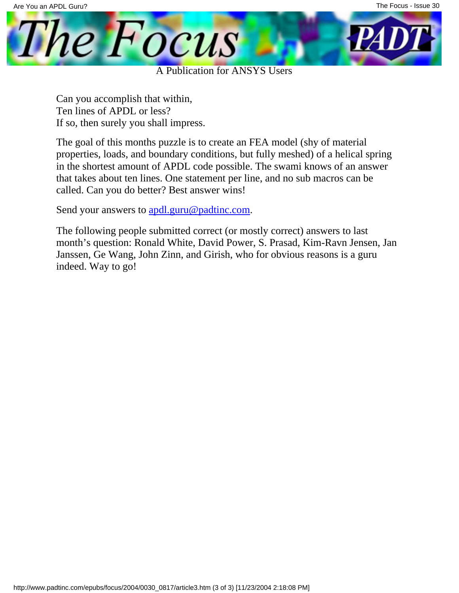

Can you accomplish that within, Ten lines of APDL or less? If so, then surely you shall impress.

The goal of this months puzzle is to create an FEA model (shy of material properties, loads, and boundary conditions, but fully meshed) of a helical spring in the shortest amount of APDL code possible. The swami knows of an answer that takes about ten lines. One statement per line, and no sub macros can be called. Can you do better? Best answer wins!

Send your answers to [apdl.guru@padtinc.com.](mailto:apdl.guru@padtinc.com?subject=Guru Contest #2)

The following people submitted correct (or mostly correct) answers to last month's question: Ronald White, David Power, S. Prasad, Kim-Ravn Jensen, Jan Janssen, Ge Wang, John Zinn, and Girish, who for obvious reasons is a guru indeed. Way to go!